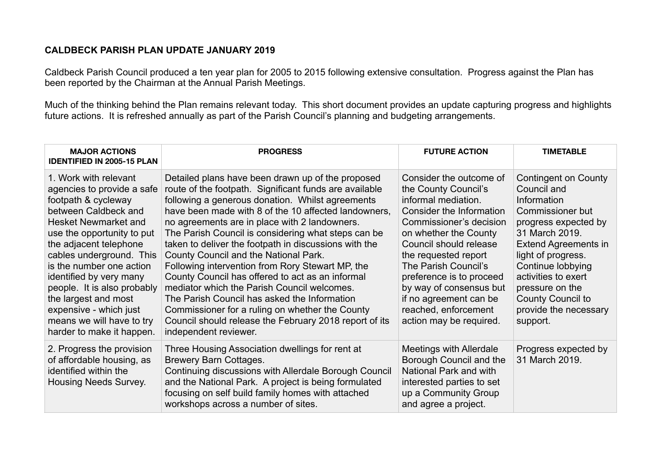## **CALDBECK PARISH PLAN UPDATE JANUARY 2019**

Caldbeck Parish Council produced a ten year plan for 2005 to 2015 following extensive consultation. Progress against the Plan has been reported by the Chairman at the Annual Parish Meetings.

Much of the thinking behind the Plan remains relevant today. This short document provides an update capturing progress and highlights future actions. It is refreshed annually as part of the Parish Council's planning and budgeting arrangements.

| <b>MAJOR ACTIONS</b><br><b>IDENTIFIED IN 2005-15 PLAN</b>                                                                                                                                                                                                                                                                                                                                                               | <b>PROGRESS</b>                                                                                                                                                                                                                                                                                                                                                                                                                                                                                                                                                                                                                                                                                                                                                                | <b>FUTURE ACTION</b>                                                                                                                                                                                                                                                                                                                                                 | <b>TIMETABLE</b>                                                                                                                                                                                                                                                                               |
|-------------------------------------------------------------------------------------------------------------------------------------------------------------------------------------------------------------------------------------------------------------------------------------------------------------------------------------------------------------------------------------------------------------------------|--------------------------------------------------------------------------------------------------------------------------------------------------------------------------------------------------------------------------------------------------------------------------------------------------------------------------------------------------------------------------------------------------------------------------------------------------------------------------------------------------------------------------------------------------------------------------------------------------------------------------------------------------------------------------------------------------------------------------------------------------------------------------------|----------------------------------------------------------------------------------------------------------------------------------------------------------------------------------------------------------------------------------------------------------------------------------------------------------------------------------------------------------------------|------------------------------------------------------------------------------------------------------------------------------------------------------------------------------------------------------------------------------------------------------------------------------------------------|
| 1. Work with relevant<br>agencies to provide a safe<br>footpath & cycleway<br>between Caldbeck and<br><b>Hesket Newmarket and</b><br>use the opportunity to put<br>the adjacent telephone<br>cables underground. This<br>is the number one action<br>identified by very many<br>people. It is also probably<br>the largest and most<br>expensive - which just<br>means we will have to try<br>harder to make it happen. | Detailed plans have been drawn up of the proposed<br>route of the footpath. Significant funds are available<br>following a generous donation. Whilst agreements<br>have been made with 8 of the 10 affected landowners,<br>no agreements are in place with 2 landowners.<br>The Parish Council is considering what steps can be<br>taken to deliver the footpath in discussions with the<br>County Council and the National Park.<br>Following intervention from Rory Stewart MP, the<br>County Council has offered to act as an informal<br>mediator which the Parish Council welcomes.<br>The Parish Council has asked the Information<br>Commissioner for a ruling on whether the County<br>Council should release the February 2018 report of its<br>independent reviewer. | Consider the outcome of<br>the County Council's<br>informal mediation.<br>Consider the Information<br>Commissioner's decision<br>on whether the County<br>Council should release<br>the requested report<br>The Parish Council's<br>preference is to proceed<br>by way of consensus but<br>if no agreement can be<br>reached, enforcement<br>action may be required. | Contingent on County<br>Council and<br>Information<br>Commissioner but<br>progress expected by<br>31 March 2019.<br>Extend Agreements in<br>light of progress.<br>Continue lobbying<br>activities to exert<br>pressure on the<br><b>County Council to</b><br>provide the necessary<br>support. |
| 2. Progress the provision<br>of affordable housing, as<br>identified within the<br><b>Housing Needs Survey.</b>                                                                                                                                                                                                                                                                                                         | Three Housing Association dwellings for rent at<br><b>Brewery Barn Cottages.</b><br>Continuing discussions with Allerdale Borough Council<br>and the National Park. A project is being formulated<br>focusing on self build family homes with attached<br>workshops across a number of sites.                                                                                                                                                                                                                                                                                                                                                                                                                                                                                  | Meetings with Allerdale<br>Borough Council and the<br>National Park and with<br>interested parties to set<br>up a Community Group<br>and agree a project.                                                                                                                                                                                                            | Progress expected by<br>31 March 2019.                                                                                                                                                                                                                                                         |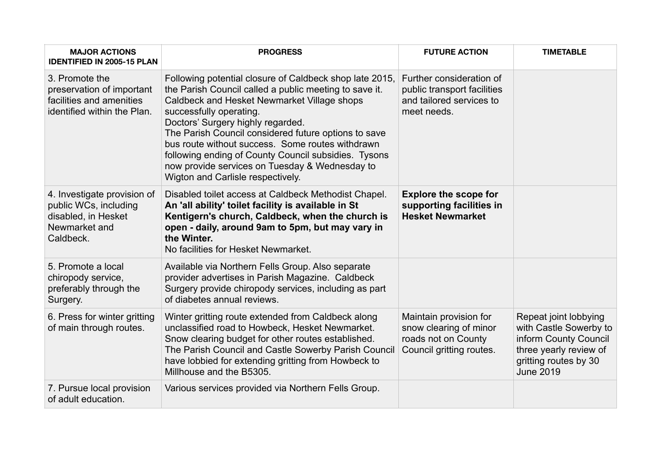| <b>MAJOR ACTIONS</b><br><b>IDENTIFIED IN 2005-15 PLAN</b>                                                 | <b>PROGRESS</b>                                                                                                                                                                                                                                                                                                                                                                                                                                                                             | <b>FUTURE ACTION</b>                                                                                | <b>TIMETABLE</b>                                                                                                                                |
|-----------------------------------------------------------------------------------------------------------|---------------------------------------------------------------------------------------------------------------------------------------------------------------------------------------------------------------------------------------------------------------------------------------------------------------------------------------------------------------------------------------------------------------------------------------------------------------------------------------------|-----------------------------------------------------------------------------------------------------|-------------------------------------------------------------------------------------------------------------------------------------------------|
| 3. Promote the<br>preservation of important<br>facilities and amenities<br>identified within the Plan.    | Following potential closure of Caldbeck shop late 2015,<br>the Parish Council called a public meeting to save it.<br>Caldbeck and Hesket Newmarket Village shops<br>successfully operating.<br>Doctors' Surgery highly regarded.<br>The Parish Council considered future options to save<br>bus route without success. Some routes withdrawn<br>following ending of County Council subsidies. Tysons<br>now provide services on Tuesday & Wednesday to<br>Wigton and Carlisle respectively. | Further consideration of<br>public transport facilities<br>and tailored services to<br>meet needs.  |                                                                                                                                                 |
| 4. Investigate provision of<br>public WCs, including<br>disabled, in Hesket<br>Newmarket and<br>Caldbeck. | Disabled toilet access at Caldbeck Methodist Chapel.<br>An 'all ability' toilet facility is available in St<br>Kentigern's church, Caldbeck, when the church is<br>open - daily, around 9am to 5pm, but may vary in<br>the Winter.<br>No facilities for Hesket Newmarket.                                                                                                                                                                                                                   | <b>Explore the scope for</b><br>supporting facilities in<br><b>Hesket Newmarket</b>                 |                                                                                                                                                 |
| 5. Promote a local<br>chiropody service,<br>preferably through the<br>Surgery.                            | Available via Northern Fells Group. Also separate<br>provider advertises in Parish Magazine. Caldbeck<br>Surgery provide chiropody services, including as part<br>of diabetes annual reviews.                                                                                                                                                                                                                                                                                               |                                                                                                     |                                                                                                                                                 |
| 6. Press for winter gritting<br>of main through routes.                                                   | Winter gritting route extended from Caldbeck along<br>unclassified road to Howbeck, Hesket Newmarket.<br>Snow clearing budget for other routes established.<br>The Parish Council and Castle Sowerby Parish Council<br>have lobbied for extending gritting from Howbeck to<br>Millhouse and the B5305.                                                                                                                                                                                      | Maintain provision for<br>snow clearing of minor<br>roads not on County<br>Council gritting routes. | Repeat joint lobbying<br>with Castle Sowerby to<br>inform County Council<br>three yearly review of<br>gritting routes by 30<br><b>June 2019</b> |
| 7. Pursue local provision<br>of adult education.                                                          | Various services provided via Northern Fells Group.                                                                                                                                                                                                                                                                                                                                                                                                                                         |                                                                                                     |                                                                                                                                                 |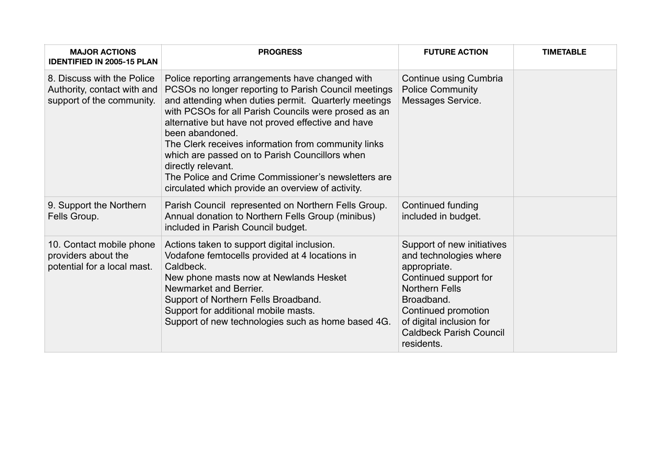| <b>MAJOR ACTIONS</b><br><b>IDENTIFIED IN 2005-15 PLAN</b>                              | <b>PROGRESS</b>                                                                                                                                                                                                                                                                                                                                                                                                                                                                                                                             | <b>FUTURE ACTION</b>                                                                                                                                                                                                                    | <b>TIMETABLE</b> |
|----------------------------------------------------------------------------------------|---------------------------------------------------------------------------------------------------------------------------------------------------------------------------------------------------------------------------------------------------------------------------------------------------------------------------------------------------------------------------------------------------------------------------------------------------------------------------------------------------------------------------------------------|-----------------------------------------------------------------------------------------------------------------------------------------------------------------------------------------------------------------------------------------|------------------|
| 8. Discuss with the Police<br>Authority, contact with and<br>support of the community. | Police reporting arrangements have changed with<br>PCSOs no longer reporting to Parish Council meetings<br>and attending when duties permit. Quarterly meetings<br>with PCSOs for all Parish Councils were prosed as an<br>alternative but have not proved effective and have<br>been abandoned.<br>The Clerk receives information from community links<br>which are passed on to Parish Councillors when<br>directly relevant.<br>The Police and Crime Commissioner's newsletters are<br>circulated which provide an overview of activity. | Continue using Cumbria<br><b>Police Community</b><br>Messages Service.                                                                                                                                                                  |                  |
| 9. Support the Northern<br>Fells Group.                                                | Parish Council represented on Northern Fells Group.<br>Annual donation to Northern Fells Group (minibus)<br>included in Parish Council budget.                                                                                                                                                                                                                                                                                                                                                                                              | Continued funding<br>included in budget.                                                                                                                                                                                                |                  |
| 10. Contact mobile phone<br>providers about the<br>potential for a local mast.         | Actions taken to support digital inclusion.<br>Vodafone femtocells provided at 4 locations in<br>Caldbeck.<br>New phone masts now at Newlands Hesket<br>Newmarket and Berrier.<br>Support of Northern Fells Broadband.<br>Support for additional mobile masts.<br>Support of new technologies such as home based 4G.                                                                                                                                                                                                                        | Support of new initiatives<br>and technologies where<br>appropriate.<br>Continued support for<br><b>Northern Fells</b><br>Broadband.<br>Continued promotion<br>of digital inclusion for<br><b>Caldbeck Parish Council</b><br>residents. |                  |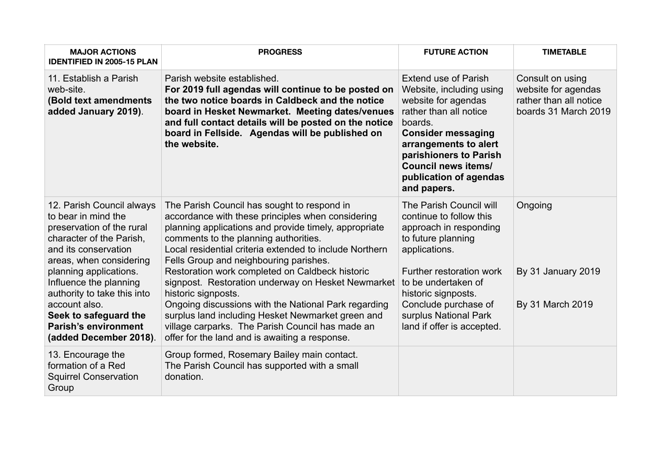| <b>MAJOR ACTIONS</b><br><b>IDENTIFIED IN 2005-15 PLAN</b>                                                                                                                                                                                                                                                                                          | <b>PROGRESS</b>                                                                                                                                                                                                                                                                                                                                                                                                                                                                                                                                                                                                                                            | <b>FUTURE ACTION</b>                                                                                                                                                                                                                                                         | <b>TIMETABLE</b>                                                                          |
|----------------------------------------------------------------------------------------------------------------------------------------------------------------------------------------------------------------------------------------------------------------------------------------------------------------------------------------------------|------------------------------------------------------------------------------------------------------------------------------------------------------------------------------------------------------------------------------------------------------------------------------------------------------------------------------------------------------------------------------------------------------------------------------------------------------------------------------------------------------------------------------------------------------------------------------------------------------------------------------------------------------------|------------------------------------------------------------------------------------------------------------------------------------------------------------------------------------------------------------------------------------------------------------------------------|-------------------------------------------------------------------------------------------|
| 11. Establish a Parish<br>web-site.<br>(Bold text amendments<br>added January 2019).                                                                                                                                                                                                                                                               | Parish website established.<br>For 2019 full agendas will continue to be posted on<br>the two notice boards in Caldbeck and the notice<br>board in Hesket Newmarket. Meeting dates/venues<br>and full contact details will be posted on the notice<br>board in Fellside. Agendas will be published on<br>the website.                                                                                                                                                                                                                                                                                                                                      | <b>Extend use of Parish</b><br>Website, including using<br>website for agendas<br>rather than all notice<br>boards.<br><b>Consider messaging</b><br>arrangements to alert<br>parishioners to Parish<br><b>Council news items/</b><br>publication of agendas<br>and papers.   | Consult on using<br>website for agendas<br>rather than all notice<br>boards 31 March 2019 |
| 12. Parish Council always<br>to bear in mind the<br>preservation of the rural<br>character of the Parish,<br>and its conservation<br>areas, when considering<br>planning applications.<br>Influence the planning<br>authority to take this into<br>account also.<br>Seek to safeguard the<br><b>Parish's environment</b><br>(added December 2018). | The Parish Council has sought to respond in<br>accordance with these principles when considering<br>planning applications and provide timely, appropriate<br>comments to the planning authorities.<br>Local residential criteria extended to include Northern<br>Fells Group and neighbouring parishes.<br>Restoration work completed on Caldbeck historic<br>signpost. Restoration underway on Hesket Newmarket<br>historic signposts.<br>Ongoing discussions with the National Park regarding<br>surplus land including Hesket Newmarket green and<br>village carparks. The Parish Council has made an<br>offer for the land and is awaiting a response. | The Parish Council will<br>continue to follow this<br>approach in responding<br>to future planning<br>applications.<br>Further restoration work<br>to be undertaken of<br>historic signposts.<br>Conclude purchase of<br>surplus National Park<br>land if offer is accepted. | Ongoing<br>By 31 January 2019<br>By 31 March 2019                                         |
| 13. Encourage the<br>formation of a Red<br><b>Squirrel Conservation</b><br>Group                                                                                                                                                                                                                                                                   | Group formed, Rosemary Bailey main contact.<br>The Parish Council has supported with a small<br>donation.                                                                                                                                                                                                                                                                                                                                                                                                                                                                                                                                                  |                                                                                                                                                                                                                                                                              |                                                                                           |